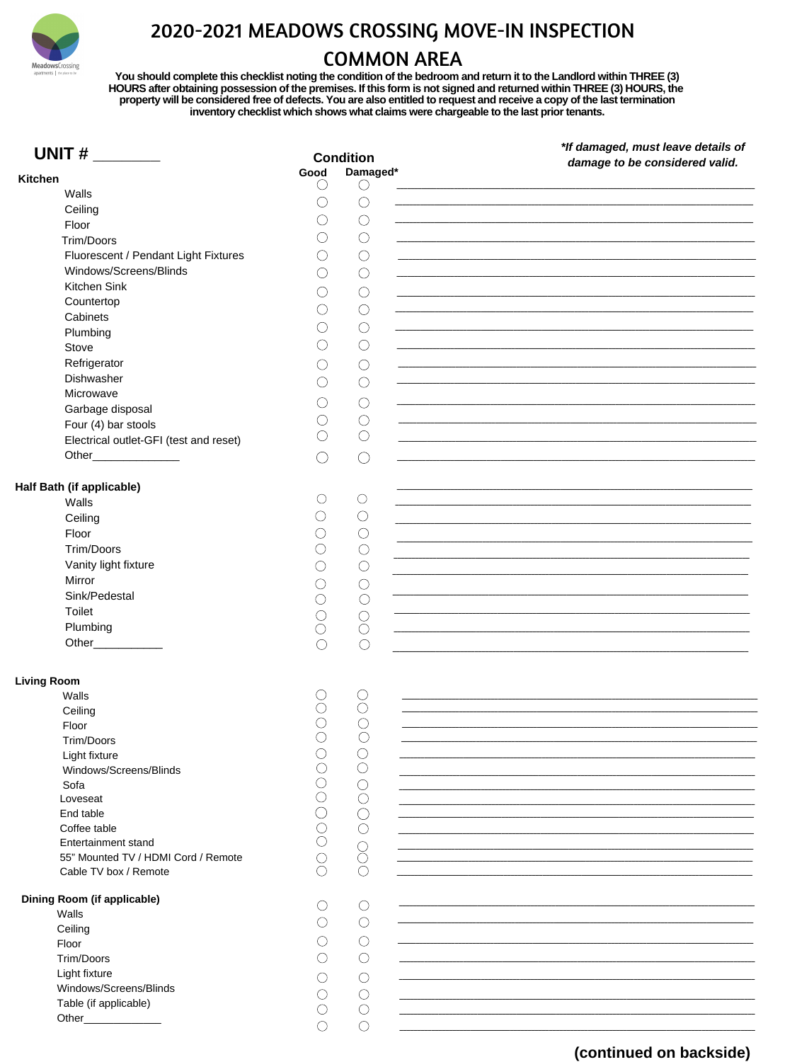

## 2020-2021 MEADOWS CROSSING MOVE-IN INSPECTION

## **COMMON AREA**

You should complete this checklist noting the condition of the bedroom and return it to the Landlord within THREE (3)<br>HOURS after obtaining possession of the premises. If this form is not signed and returned within THREE (

| UNIT $#$                                             |      | <b>Condition</b>                            | *If damaged, must leave details of                                                                                   |
|------------------------------------------------------|------|---------------------------------------------|----------------------------------------------------------------------------------------------------------------------|
|                                                      | Good | Damaged*                                    | damage to be considered valid.                                                                                       |
| <b>Kitchen</b>                                       |      |                                             |                                                                                                                      |
| <b>Walls</b>                                         |      |                                             |                                                                                                                      |
| Ceiling                                              |      |                                             |                                                                                                                      |
| Floor                                                |      | $($ )                                       | ,我们也不会有什么。""我们的人,我们也不会有什么?""我们的人,我们也不会有什么?""我们的人,我们也不会有什么?""我们的人,我们也不会有什么?""我们的人                                     |
| <b>Trim/Doors</b>                                    |      | $($ )                                       |                                                                                                                      |
| Fluorescent / Pendant Light Fixtures                 |      | (                                           |                                                                                                                      |
| Windows/Screens/Blinds                               |      | $\left(\begin{array}{c} \end{array}\right)$ |                                                                                                                      |
| <b>Kitchen Sink</b>                                  |      |                                             |                                                                                                                      |
| Countertop                                           |      | (                                           | ,我们也不会有什么。""我们的人,我们也不会有什么?""我们的人,我们也不会有什么?""我们的人,我们也不会有什么?""我们的人,我们也不会有什么?""我们的人                                     |
| Cabinets                                             |      | (                                           |                                                                                                                      |
| Plumbing                                             |      |                                             |                                                                                                                      |
| <b>Stove</b>                                         |      | $($ )                                       | <u> 1989 - Johann Barbara, marka a shekara tsa 1989 - An tsa 1989 - An tsa 1989 - An tsa 1989 - An tsa 1989 - An</u> |
| Refrigerator                                         |      |                                             |                                                                                                                      |
| <b>Dishwasher</b>                                    |      |                                             | ,我们也不会有什么。""我们的人,我们也不会有什么?""我们的人,我们也不会有什么?""我们的人,我们也不会有什么?""我们的人,我们也不会有什么?""我们的人                                     |
|                                                      |      | (                                           |                                                                                                                      |
| Microwave                                            |      |                                             |                                                                                                                      |
| Garbage disposal                                     |      | $\curvearrowright$                          |                                                                                                                      |
| Four (4) bar stools                                  |      |                                             |                                                                                                                      |
| Electrical outlet-GFI (test and reset)               |      |                                             |                                                                                                                      |
| Other                                                |      |                                             |                                                                                                                      |
|                                                      |      |                                             |                                                                                                                      |
| <b>Half Bath (if applicable)</b>                     |      |                                             |                                                                                                                      |
| <b>Walls</b>                                         |      | $\left($                                    |                                                                                                                      |
| Ceiling                                              |      |                                             |                                                                                                                      |
| Floor                                                |      |                                             |                                                                                                                      |
| <b>Trim/Doors</b>                                    |      |                                             |                                                                                                                      |
| Vanity light fixture                                 |      |                                             |                                                                                                                      |
| Mirror                                               |      |                                             |                                                                                                                      |
| Sink/Pedestal                                        |      |                                             |                                                                                                                      |
| <b>Toilet</b>                                        |      |                                             |                                                                                                                      |
|                                                      |      |                                             |                                                                                                                      |
| Plumbing                                             |      |                                             |                                                                                                                      |
| <b>Other Community Community Community Community</b> |      |                                             |                                                                                                                      |
|                                                      |      |                                             |                                                                                                                      |
| <b>Living Room</b>                                   |      |                                             |                                                                                                                      |
| Walls                                                |      |                                             |                                                                                                                      |
| Ceiling                                              |      |                                             |                                                                                                                      |
| Floor                                                |      |                                             |                                                                                                                      |
| <b>Trim/Doors</b>                                    |      |                                             |                                                                                                                      |
| Light fixture                                        |      |                                             |                                                                                                                      |
| Windows/Screens/Blinds                               |      |                                             |                                                                                                                      |
| Sofa                                                 |      |                                             |                                                                                                                      |
| Loveseat                                             |      |                                             |                                                                                                                      |
| End table                                            |      |                                             |                                                                                                                      |
| Coffee table                                         |      |                                             |                                                                                                                      |
| <b>Entertainment stand</b>                           |      |                                             |                                                                                                                      |
| 55" Mounted TV / HDMI Cord / Remote                  |      |                                             |                                                                                                                      |
| Cable TV box / Remote                                |      |                                             |                                                                                                                      |
| <b>Dining Room (if applicable)</b>                   |      |                                             |                                                                                                                      |
| <b>Walls</b>                                         |      |                                             |                                                                                                                      |
| Ceiling                                              |      |                                             |                                                                                                                      |
| Floor                                                |      |                                             |                                                                                                                      |
| <b>Trim/Doors</b>                                    |      |                                             |                                                                                                                      |
| Light fixture                                        |      |                                             |                                                                                                                      |
| Windows/Screens/Blinds                               |      |                                             |                                                                                                                      |
|                                                      |      |                                             |                                                                                                                      |
| Table (if applicable)<br>Other                       |      |                                             |                                                                                                                      |
|                                                      |      |                                             |                                                                                                                      |
|                                                      |      |                                             |                                                                                                                      |

## (continued on backside)